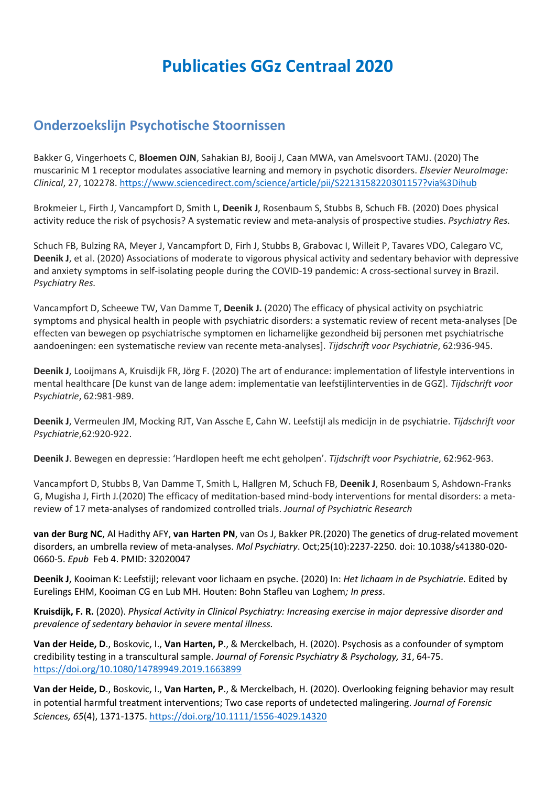# **Publicaties GGz Centraal 2020**

#### **Onderzoekslijn Psychotische Stoornissen**

Bakker G, Vingerhoets C, **Bloemen OJN**, Sahakian BJ, Booij J, Caan MWA, van Amelsvoort TAMJ. (2020) The muscarinic M 1 receptor modulates associative learning and memory in psychotic disorders. *Elsevier NeuroImage: Clinical*, 27, 102278.<https://www.sciencedirect.com/science/article/pii/S2213158220301157?via%3Dihub>

Brokmeier L, Firth J, Vancampfort D, Smith L, **Deenik J**, Rosenbaum S, Stubbs B, Schuch FB. (2020) Does physical activity reduce the risk of psychosis? A systematic review and meta-analysis of prospective studies. *Psychiatry Res.*

Schuch FB, Bulzing RA, Meyer J, Vancampfort D, Firh J, Stubbs B, Grabovac I, Willeit P, Tavares VDO, Calegaro VC, **Deenik J**, et al. (2020) Associations of moderate to vigorous physical activity and sedentary behavior with depressive and anxiety symptoms in self-isolating people during the COVID-19 pandemic: A cross-sectional survey in Brazil. *Psychiatry Res.*

Vancampfort D, Scheewe TW, Van Damme T, **Deenik J.** (2020) The efficacy of physical activity on psychiatric symptoms and physical health in people with psychiatric disorders: a systematic review of recent meta-analyses [De effecten van bewegen op psychiatrische symptomen en lichamelijke gezondheid bij personen met psychiatrische aandoeningen: een systematische review van recente meta-analyses]. *Tijdschrift voor Psychiatrie*, 62:936-945.

**Deenik J**, Looijmans A, Kruisdijk FR, Jörg F. (2020) The art of endurance: implementation of lifestyle interventions in mental healthcare [De kunst van de lange adem: implementatie van leefstijlinterventies in de GGZ]. *Tijdschrift voor Psychiatrie*, 62:981-989.

**Deenik J**, Vermeulen JM, Mocking RJT, Van Assche E, Cahn W. Leefstijl als medicijn in de psychiatrie. *Tijdschrift voor Psychiatrie*,62:920-922.

**Deenik J**. Bewegen en depressie: 'Hardlopen heeft me echt geholpen'. *Tijdschrift voor Psychiatrie*, 62:962-963.

Vancampfort D, Stubbs B, Van Damme T, Smith L, Hallgren M, Schuch FB, **Deenik J**, Rosenbaum S, Ashdown-Franks G, Mugisha J, Firth J*.*(2020) The efficacy of meditation-based mind-body interventions for mental disorders: a metareview of 17 meta-analyses of randomized controlled trials. *Journal of Psychiatric Research*

**van der Burg NC**, Al Hadithy AFY, **van Harten PN**, van Os J, Bakker PR.(2020) The genetics of drug-related movement disorders, an umbrella review of meta-analyses. *Mol Psychiatry*. Oct;25(10):2237-2250. doi: 10.1038/s41380-020- 0660-5. *Epub* Feb 4. PMID: 32020047

**Deenik J**, Kooiman K: Leefstijl; relevant voor lichaam en psyche. (2020) In: *Het lichaam in de Psychiatrie.* Edited by Eurelings EHM, Kooiman CG en Lub MH. Houten: Bohn Stafleu van Loghem*; In press*.

**Kruisdijk, F. R.** (2020). *Physical Activity in Clinical Psychiatry: Increasing exercise in major depressive disorder and prevalence of sedentary behavior in severe mental illness.* 

**Van der Heide, D**., Boskovic, I., **Van Harten, P**., & Merckelbach, H. (2020). Psychosis as a confounder of symptom credibility testing in a transcultural sample. *Journal of Forensic Psychiatry & Psychology, 31*, 64-75. <https://doi.org/10.1080/14789949.2019.1663899>

**Van der Heide, D**., Boskovic, I., **Van Harten, P**., & Merckelbach, H. (2020). Overlooking feigning behavior may result in potential harmful treatment interventions; Two case reports of undetected malingering. *Journal of Forensic Sciences, 65*(4), 1371-1375.<https://doi.org/10.1111/1556-4029.14320>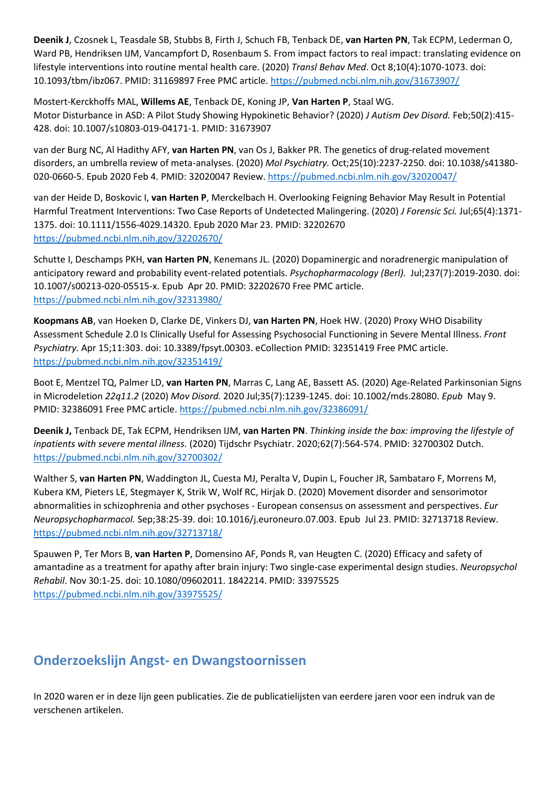**Deenik J**, Czosnek L, Teasdale SB, Stubbs B, Firth J, Schuch FB, Tenback DE, **van Harten PN**, Tak ECPM, Lederman O, Ward PB, Hendriksen IJM, Vancampfort D, Rosenbaum S. From impact factors to real impact: translating evidence on lifestyle interventions into routine mental health care. (2020) *Transl Behav Med*. Oct 8;10(4):1070-1073. doi: 10.1093/tbm/ibz067. PMID: 31169897 Free PMC article. <https://pubmed.ncbi.nlm.nih.gov/31673907/>

Mostert-Kerckhoffs MAL, **Willems AE**, Tenback DE, Koning JP, **Van Harten P**, Staal WG. Motor Disturbance in ASD: A Pilot Study Showing Hypokinetic Behavior? (2020) *J Autism Dev Disord.* Feb;50(2):415- 428. doi: 10.1007/s10803-019-04171-1. PMID: 31673907

van der Burg NC, Al Hadithy AFY, **van Harten PN**, van Os J, Bakker PR. The genetics of drug-related movement disorders, an umbrella review of meta-analyses. (2020) *Mol Psychiatry.* Oct;25(10):2237-2250. doi: 10.1038/s41380- 020-0660-5. Epub 2020 Feb 4. PMID: 32020047 Review. <https://pubmed.ncbi.nlm.nih.gov/32020047/>

van der Heide D, Boskovic I, **van Harten P**, Merckelbach H. Overlooking Feigning Behavior May Result in Potential Harmful Treatment Interventions: Two Case Reports of Undetected Malingering. (2020) *J Forensic Sci.* Jul;65(4):1371- 1375. doi: 10.1111/1556-4029.14320. Epub 2020 Mar 23. PMID: 32202670 <https://pubmed.ncbi.nlm.nih.gov/32202670/>

Schutte I, Deschamps PKH, **van Harten PN**, Kenemans JL. (2020) Dopaminergic and noradrenergic manipulation of anticipatory reward and probability event-related potentials. *Psychopharmacology (Berl).* Jul;237(7):2019-2030. doi: 10.1007/s00213-020-05515-x. Epub Apr 20. PMID: 32202670 Free PMC article. <https://pubmed.ncbi.nlm.nih.gov/32313980/>

**Koopmans AB**, van Hoeken D, Clarke DE, Vinkers DJ, **van Harten PN**, Hoek HW. (2020) Proxy WHO Disability Assessment Schedule 2.0 Is Clinically Useful for Assessing Psychosocial Functioning in Severe Mental Illness. *Front Psychiatry.* Apr 15;11:303. doi: 10.3389/fpsyt.00303. eCollection PMID: 32351419 Free PMC article. <https://pubmed.ncbi.nlm.nih.gov/32351419/>

Boot E, Mentzel TQ, Palmer LD, **van Harten PN**, Marras C, Lang AE, Bassett AS. (2020) Age-Related Parkinsonian Signs in Microdeletion *22q11.2* (2020) *Mov Disord.* 2020 Jul;35(7):1239-1245. doi: 10.1002/mds.28080. *Epub* May 9. PMID: 32386091 Free PMC article. <https://pubmed.ncbi.nlm.nih.gov/32386091/>

**Deenik J,** Tenback DE, Tak ECPM, Hendriksen IJM, **van Harten PN**. *Thinking inside the box: improving the lifestyle of inpatients with severe mental illness.* (2020) Tijdschr Psychiatr. 2020;62(7):564-574. PMID: 32700302 Dutch. <https://pubmed.ncbi.nlm.nih.gov/32700302/>

Walther S, **van Harten PN**, Waddington JL, Cuesta MJ, Peralta V, Dupin L, Foucher JR, Sambataro F, Morrens M, Kubera KM, Pieters LE, Stegmayer K, Strik W, Wolf RC, Hirjak D. (2020) Movement disorder and sensorimotor abnormalities in schizophrenia and other psychoses - European consensus on assessment and perspectives. *Eur Neuropsychopharmacol.* Sep;38:25-39. doi: 10.1016/j.euroneuro.07.003. Epub Jul 23. PMID: 32713718 Review. <https://pubmed.ncbi.nlm.nih.gov/32713718/>

Spauwen P, Ter Mors B, **van Harten P**, Domensino AF, Ponds R, van Heugten C. (2020) Efficacy and safety of amantadine as a treatment for apathy after brain injury: Two single-case experimental design studies. *Neuropsychol Rehabil*. Nov 30:1-25. doi: 10.1080/09602011. 1842214. PMID: 33975525 <https://pubmed.ncbi.nlm.nih.gov/33975525/>

## **Onderzoekslijn Angst- en Dwangstoornissen**

In 2020 waren er in deze lijn geen publicaties. Zie de publicatielijsten van eerdere jaren voor een indruk van de verschenen artikelen.